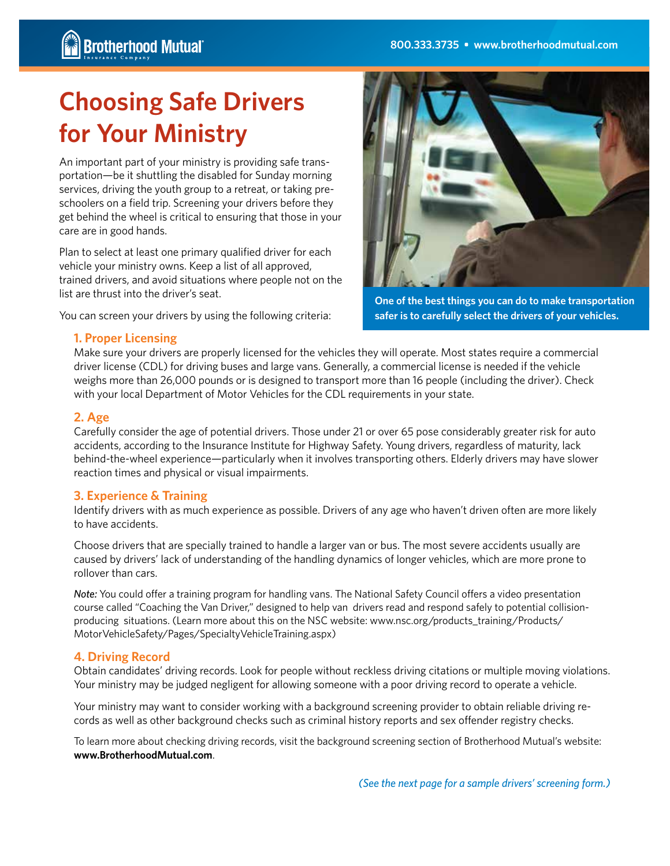# **Choosing Safe Drivers for Your Ministry**

An important part of your ministry is providing safe transportation—be it shuttling the disabled for Sunday morning services, driving the youth group to a retreat, or taking preschoolers on a field trip. Screening your drivers before they get behind the wheel is critical to ensuring that those in your care are in good hands.

Plan to select at least one primary qualified driver for each vehicle your ministry owns. Keep a list of all approved, trained drivers, and avoid situations where people not on the list are thrust into the driver's seat.

You can screen your drivers by using the following criteria:



**One of the best things you can do to make transportation safer is to carefully select the drivers of your vehicles.**

#### **1. Proper Licensing**

Make sure your drivers are properly licensed for the vehicles they will operate. Most states require a commercial driver license (CDL) for driving buses and large vans. Generally, a commercial license is needed if the vehicle weighs more than 26,000 pounds or is designed to transport more than 16 people (including the driver). Check with your local Department of Motor Vehicles for the CDL requirements in your state.

#### **2. Age**

Carefully consider the age of potential drivers. Those under 21 or over 65 pose considerably greater risk for auto accidents, according to the Insurance Institute for Highway Safety. Young drivers, regardless of maturity, lack behind-the-wheel experience—particularly when it involves transporting others. Elderly drivers may have slower reaction times and physical or visual impairments.

## **3. Experience & Training**

Identify drivers with as much experience as possible. Drivers of any age who haven't driven often are more likely to have accidents.

Choose drivers that are specially trained to handle a larger van or bus. The most severe accidents usually are caused by drivers' lack of understanding of the handling dynamics of longer vehicles, which are more prone to rollover than cars.

*Note:* You could offer a training program for handling vans. The National Safety Council offers a video presentation course called "Coaching the Van Driver," designed to help van drivers read and respond safely to potential collisionproducing situations. (Learn more about this on the NSC website: www.nsc.org/products training/Products/ MotorVehicleSafety/Pages/SpecialtyVehicleTraining.aspx)

## **4. Driving Record**

Obtain candidates' driving records. Look for people without reckless driving citations or multiple moving violations. Your ministry may be judged negligent for allowing someone with a poor driving record to operate a vehicle.

Your ministry may want to consider working with a background screening provider to obtain reliable driving records as well as other background checks such as criminal history reports and sex offender registry checks.

To learn more about checking driving records, visit the background screening section of Brotherhood Mutual's website: **www.BrotherhoodMutual.com**.